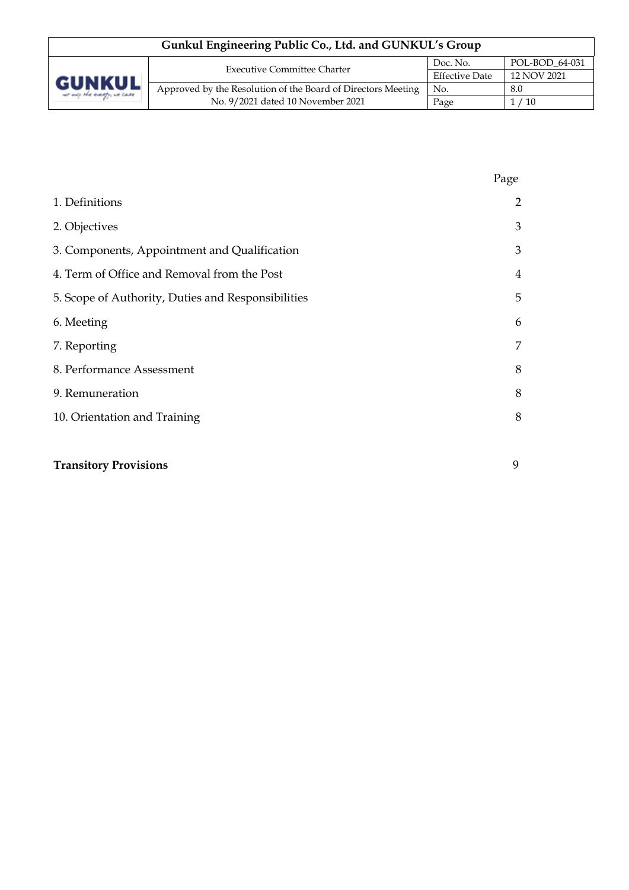| Gunkul Engineering Public Co., Ltd. and GUNKUL's Group |                                                              |                                                  |                |  |
|--------------------------------------------------------|--------------------------------------------------------------|--------------------------------------------------|----------------|--|
| <b>GUNKUL</b><br>ver only the everyty, we care         | <b>Executive Committee Charter</b>                           | Doc. No.<br><b>Effective Date</b><br>12 NOV 2021 | POL-BOD 64-031 |  |
|                                                        |                                                              |                                                  |                |  |
|                                                        | Approved by the Resolution of the Board of Directors Meeting | No.                                              | 8.0            |  |
|                                                        | No. 9/2021 dated 10 November 2021                            | Page                                             | $^\prime$ 10   |  |

|                                                    | Page           |
|----------------------------------------------------|----------------|
| 1. Definitions                                     | $\overline{2}$ |
| 2. Objectives                                      | 3              |
| 3. Components, Appointment and Qualification       | 3              |
| 4. Term of Office and Removal from the Post        | $\overline{4}$ |
| 5. Scope of Authority, Duties and Responsibilities | 5              |
| 6. Meeting                                         | 6              |
| 7. Reporting                                       | 7              |
| 8. Performance Assessment                          | 8              |
| 9. Remuneration                                    | 8              |
| 10. Orientation and Training                       | 8              |
|                                                    |                |
| <b>Transitory Provisions</b>                       | 9              |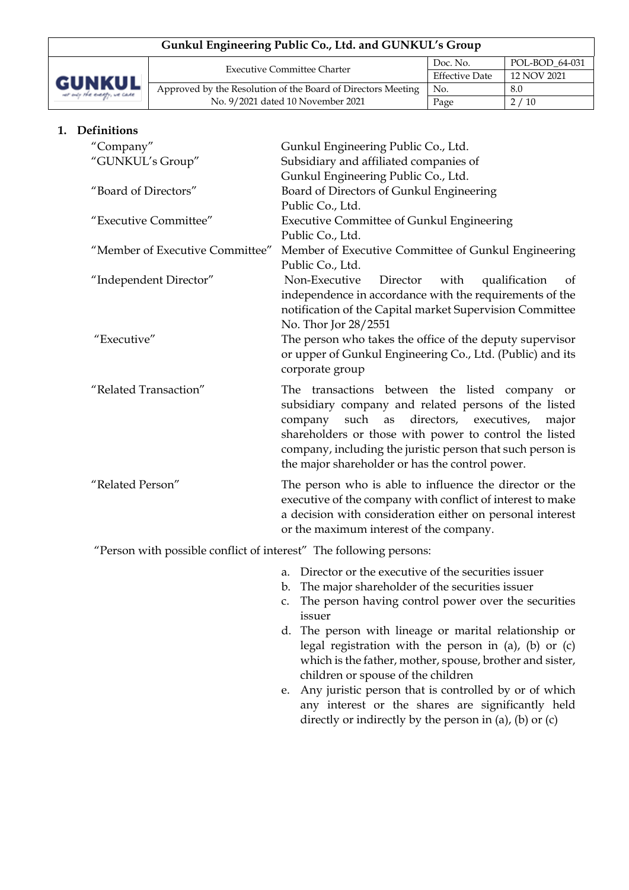| Gunkul Engineering Public Co., Ltd. and GUNKUL's Group |                                                              |                                                  |                |  |
|--------------------------------------------------------|--------------------------------------------------------------|--------------------------------------------------|----------------|--|
| GUNKUL<br>ver only the everyly, we care                | <b>Executive Committee Charter</b>                           | Doc. No.<br><b>Effective Date</b><br>12 NOV 2021 | POL-BOD 64-031 |  |
|                                                        |                                                              |                                                  |                |  |
|                                                        | Approved by the Resolution of the Board of Directors Meeting | No.                                              | 8.0            |  |
|                                                        | No. 9/2021 dated 10 November 2021                            | Page                                             | 2/10           |  |

### **1. Definitions**

| "Company"                                                          | Gunkul Engineering Public Co., Ltd.                                   |  |  |
|--------------------------------------------------------------------|-----------------------------------------------------------------------|--|--|
| "GUNKUL's Group"                                                   | Subsidiary and affiliated companies of                                |  |  |
|                                                                    | Gunkul Engineering Public Co., Ltd.                                   |  |  |
| "Board of Directors"                                               | Board of Directors of Gunkul Engineering                              |  |  |
|                                                                    | Public Co., Ltd.                                                      |  |  |
| "Executive Committee"                                              | <b>Executive Committee of Gunkul Engineering</b>                      |  |  |
|                                                                    | Public Co., Ltd.                                                      |  |  |
| "Member of Executive Committee"                                    | Member of Executive Committee of Gunkul Engineering                   |  |  |
|                                                                    | Public Co., Ltd.                                                      |  |  |
| "Independent Director"                                             | Non-Executive<br>Director<br>with<br>qualification<br>of              |  |  |
|                                                                    | independence in accordance with the requirements of the               |  |  |
|                                                                    | notification of the Capital market Supervision Committee              |  |  |
|                                                                    | No. Thor Jor 28/2551                                                  |  |  |
| "Executive"                                                        | The person who takes the office of the deputy supervisor              |  |  |
|                                                                    | or upper of Gunkul Engineering Co., Ltd. (Public) and its             |  |  |
|                                                                    | corporate group                                                       |  |  |
| "Related Transaction"                                              | The transactions between the listed company<br>or                     |  |  |
|                                                                    | subsidiary company and related persons of the listed                  |  |  |
|                                                                    | such<br>directors, executives,<br>company<br>as<br>major              |  |  |
|                                                                    | shareholders or those with power to control the listed                |  |  |
|                                                                    | company, including the juristic person that such person is            |  |  |
|                                                                    | the major shareholder or has the control power.                       |  |  |
| "Related Person"                                                   | The person who is able to influence the director or the               |  |  |
|                                                                    | executive of the company with conflict of interest to make            |  |  |
|                                                                    | a decision with consideration either on personal interest             |  |  |
|                                                                    | or the maximum interest of the company.                               |  |  |
| "Person with possible conflict of interest" The following persons: |                                                                       |  |  |
|                                                                    | Director or the executive of the securities issuer<br>a.              |  |  |
|                                                                    | The major shareholder of the securities issuer<br>b.                  |  |  |
|                                                                    | The person having control power over the securities<br>C <sub>1</sub> |  |  |

- issuer d. The person with lineage or marital relationship or legal registration with the person in (a), (b) or (c) which is the father, mother, spouse, brother and sister, children or spouse of the children
- e. Any juristic person that is controlled by or of which any interest or the shares are significantly held directly or indirectly by the person in (a), (b) or (c)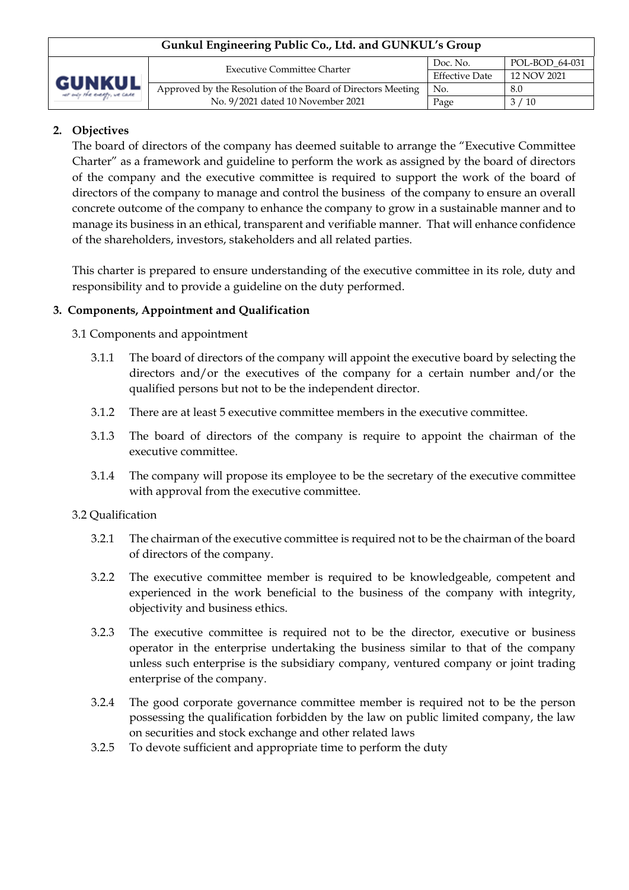| Gunkul Engineering Public Co., Ltd. and GUNKUL's Group |                                                              |                                                  |                |  |
|--------------------------------------------------------|--------------------------------------------------------------|--------------------------------------------------|----------------|--|
| GUNKUL<br>ver only the everyly, we care                | <b>Executive Committee Charter</b>                           | Doc. No.<br><b>Effective Date</b><br>12 NOV 2021 | POL-BOD 64-031 |  |
|                                                        |                                                              |                                                  |                |  |
|                                                        | Approved by the Resolution of the Board of Directors Meeting | No.                                              | 8.0            |  |
|                                                        | No. 9/2021 dated 10 November 2021                            | Page                                             | $^{\prime}$ 10 |  |

# **2. Objectives**

The board of directors of the company has deemed suitable to arrange the "Executive Committee Charter" as a framework and guideline to perform the work as assigned by the board of directors of the company and the executive committee is required to support the work of the board of directors of the company to manage and control the business of the company to ensure an overall concrete outcome of the company to enhance the company to grow in a sustainable manner and to manage its business in an ethical, transparent and verifiable manner. That will enhance confidence of the shareholders, investors, stakeholders and all related parties.

This charter is prepared to ensure understanding of the executive committee in its role, duty and responsibility and to provide a guideline on the duty performed.

### **3. Components, Appointment and Qualification**

3.1 Components and appointment

- 3.1.1 The board of directors of the company will appoint the executive board by selecting the directors and/or the executives of the company for a certain number and/or the qualified persons but not to be the independent director.
- 3.1.2 There are at least 5 executive committee members in the executive committee.
- 3.1.3 The board of directors of the company is require to appoint the chairman of the executive committee.
- 3.1.4 The company will propose its employee to be the secretary of the executive committee with approval from the executive committee.

### 3.2 Qualification

- 3.2.1 The chairman of the executive committee is required not to be the chairman of the board of directors of the company.
- 3.2.2 The executive committee member is required to be knowledgeable, competent and experienced in the work beneficial to the business of the company with integrity, objectivity and business ethics.
- 3.2.3 The executive committee is required not to be the director, executive or business operator in the enterprise undertaking the business similar to that of the company unless such enterprise is the subsidiary company, ventured company or joint trading enterprise of the company.
- 3.2.4 The good corporate governance committee member is required not to be the person possessing the qualification forbidden by the law on public limited company, the law on securities and stock exchange and other related laws
- 3.2.5 To devote sufficient and appropriate time to perform the duty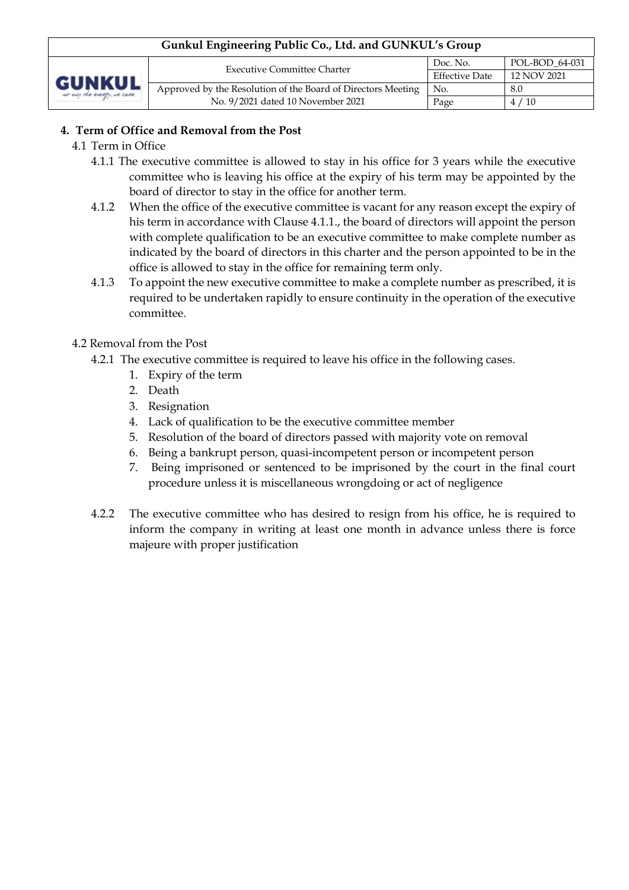| Gunkul Engineering Public Co., Ltd. and GUNKUL's Group |                                                              |                                                                    |      |  |
|--------------------------------------------------------|--------------------------------------------------------------|--------------------------------------------------------------------|------|--|
| <b>GUNKUL</b><br>ver only the everyly, we cane         | <b>Executive Committee Charter</b>                           | POL-BOD 64-031<br>Doc. No.<br><b>Effective Date</b><br>12 NOV 2021 |      |  |
|                                                        |                                                              |                                                                    |      |  |
|                                                        | Approved by the Resolution of the Board of Directors Meeting | No.                                                                | 8.0  |  |
|                                                        | No. 9/2021 dated 10 November 2021                            | Page                                                               | 4/10 |  |

## **4. Term of Office and Removal from the Post**

- 4.1 Term in Office
	- 4.1.1 The executive committee is allowed to stay in his office for 3 years while the executive committee who is leaving his office at the expiry of his term may be appointed by the board of director to stay in the office for another term.
	- 4.1.2 When the office of the executive committee is vacant for any reason except the expiry of his term in accordance with Clause 4.1.1., the board of directors will appoint the person with complete qualification to be an executive committee to make complete number as indicated by the board of directors in this charter and the person appointed to be in the office is allowed to stay in the office for remaining term only.
	- 4.1.3 To appoint the new executive committee to make a complete number as prescribed, it is required to be undertaken rapidly to ensure continuity in the operation of the executive committee.

## 4.2 Removal from the Post

- 4.2.1 The executive committee is required to leave his office in the following cases.
	- 1. Expiry of the term
	- 2. Death
	- 3. Resignation
	- 4. Lack of qualification to be the executive committee member
	- 5. Resolution of the board of directors passed with majority vote on removal
	- 6. Being a bankrupt person, quasi-incompetent person or incompetent person
	- 7. Being imprisoned or sentenced to be imprisoned by the court in the final court procedure unless it is miscellaneous wrongdoing or act of negligence
- 4.2.2 The executive committee who has desired to resign from his office, he is required to inform the company in writing at least one month in advance unless there is force majeure with proper justification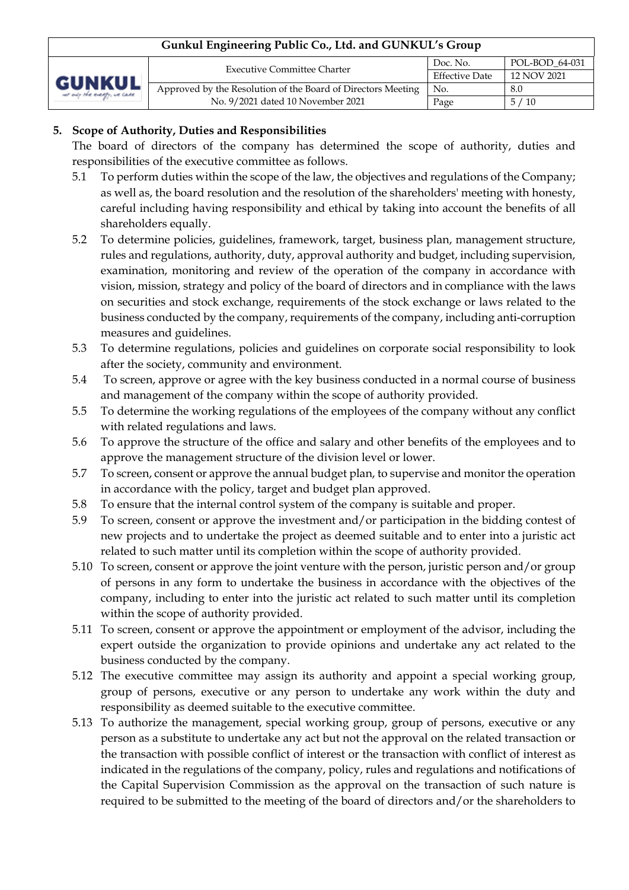| Gunkul Engineering Public Co., Ltd. and GUNKUL's Group |                                                              |                                                  |                |  |
|--------------------------------------------------------|--------------------------------------------------------------|--------------------------------------------------|----------------|--|
| <b>GUNKUL</b><br>ver only the everyly, we cane         | <b>Executive Committee Charter</b>                           | Doc. No.<br><b>Effective Date</b><br>12 NOV 2021 | POL-BOD_64-031 |  |
|                                                        |                                                              |                                                  |                |  |
|                                                        | Approved by the Resolution of the Board of Directors Meeting | No.                                              | 8.0            |  |
|                                                        | No. 9/2021 dated 10 November 2021                            | Page                                             | 5/10           |  |

# **5. Scope of Authority, Duties and Responsibilities**

The board of directors of the company has determined the scope of authority, duties and responsibilities of the executive committee as follows.

- 5.1 To perform duties within the scope of the law, the objectives and regulations of the Company; as well as, the board resolution and the resolution of the shareholders' meeting with honesty, careful including having responsibility and ethical by taking into account the benefits of all shareholders equally.
- 5.2 To determine policies, guidelines, framework, target, business plan, management structure, rules and regulations, authority, duty, approval authority and budget, including supervision, examination, monitoring and review of the operation of the company in accordance with vision, mission, strategy and policy of the board of directors and in compliance with the laws on securities and stock exchange, requirements of the stock exchange or laws related to the business conducted by the company, requirements of the company, including anti-corruption measures and guidelines.
- 5.3 To determine regulations, policies and guidelines on corporate social responsibility to look after the society, community and environment.
- 5.4 To screen, approve or agree with the key business conducted in a normal course of business and management of the company within the scope of authority provided.
- 5.5 To determine the working regulations of the employees of the company without any conflict with related regulations and laws.
- 5.6 To approve the structure of the office and salary and other benefits of the employees and to approve the management structure of the division level or lower.
- 5.7 To screen, consent or approve the annual budget plan, to supervise and monitor the operation in accordance with the policy, target and budget plan approved.
- 5.8 To ensure that the internal control system of the company is suitable and proper.
- 5.9 To screen, consent or approve the investment and/or participation in the bidding contest of new projects and to undertake the project as deemed suitable and to enter into a juristic act related to such matter until its completion within the scope of authority provided.
- 5.10 To screen, consent or approve the joint venture with the person, juristic person and/or group of persons in any form to undertake the business in accordance with the objectives of the company, including to enter into the juristic act related to such matter until its completion within the scope of authority provided.
- 5.11 To screen, consent or approve the appointment or employment of the advisor, including the expert outside the organization to provide opinions and undertake any act related to the business conducted by the company.
- 5.12 The executive committee may assign its authority and appoint a special working group, group of persons, executive or any person to undertake any work within the duty and responsibility as deemed suitable to the executive committee.
- 5.13 To authorize the management, special working group, group of persons, executive or any person as a substitute to undertake any act but not the approval on the related transaction or the transaction with possible conflict of interest or the transaction with conflict of interest as indicated in the regulations of the company, policy, rules and regulations and notifications of the Capital Supervision Commission as the approval on the transaction of such nature is required to be submitted to the meeting of the board of directors and/or the shareholders to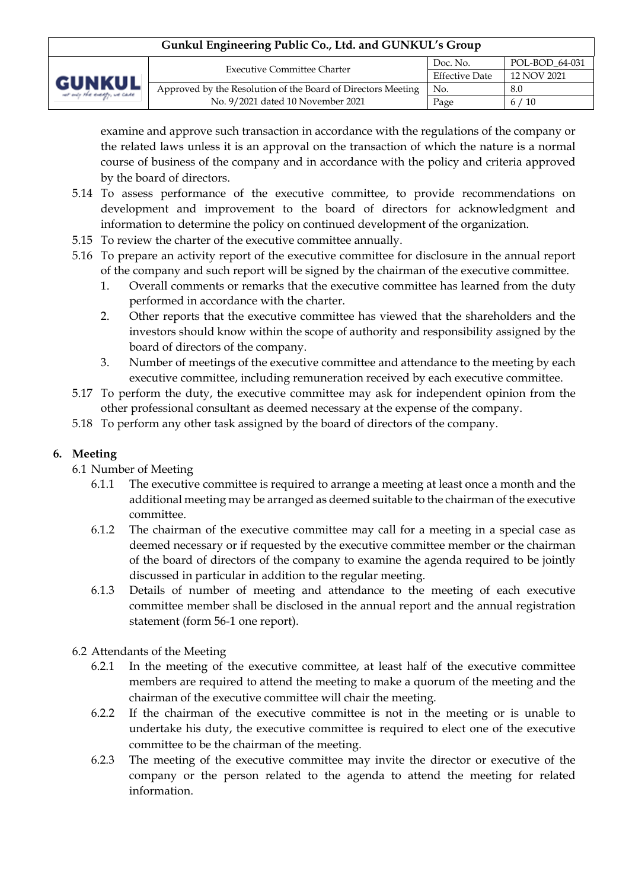| Gunkul Engineering Public Co., Ltd. and GUNKUL's Group |                                                              |                                                  |                |  |
|--------------------------------------------------------|--------------------------------------------------------------|--------------------------------------------------|----------------|--|
| <b>GUNKUL</b><br>ver only the everyly, we case         | <b>Executive Committee Charter</b>                           | Doc. No.<br><b>Effective Date</b><br>12 NOV 2021 | POL-BOD 64-031 |  |
|                                                        |                                                              |                                                  |                |  |
|                                                        | Approved by the Resolution of the Board of Directors Meeting | No.                                              | 8.0            |  |
|                                                        | No. 9/2021 dated 10 November 2021                            | Page                                             | 6/10           |  |

examine and approve such transaction in accordance with the regulations of the company or the related laws unless it is an approval on the transaction of which the nature is a normal course of business of the company and in accordance with the policy and criteria approved by the board of directors.

- 5.14 To assess performance of the executive committee, to provide recommendations on development and improvement to the board of directors for acknowledgment and information to determine the policy on continued development of the organization.
- 5.15 To review the charter of the executive committee annually.
- 5.16 To prepare an activity report of the executive committee for disclosure in the annual report of the company and such report will be signed by the chairman of the executive committee.
	- 1. Overall comments or remarks that the executive committee has learned from the duty performed in accordance with the charter.
	- 2. Other reports that the executive committee has viewed that the shareholders and the investors should know within the scope of authority and responsibility assigned by the board of directors of the company.
	- 3. Number of meetings of the executive committee and attendance to the meeting by each executive committee, including remuneration received by each executive committee.
- 5.17 To perform the duty, the executive committee may ask for independent opinion from the other professional consultant as deemed necessary at the expense of the company.
- 5.18 To perform any other task assigned by the board of directors of the company.

# **6. Meeting**

- 6.1 Number of Meeting
	- 6.1.1 The executive committee is required to arrange a meeting at least once a month and the additional meeting may be arranged as deemed suitable to the chairman of the executive committee.
	- 6.1.2 The chairman of the executive committee may call for a meeting in a special case as deemed necessary or if requested by the executive committee member or the chairman of the board of directors of the company to examine the agenda required to be jointly discussed in particular in addition to the regular meeting.
	- 6.1.3 Details of number of meeting and attendance to the meeting of each executive committee member shall be disclosed in the annual report and the annual registration statement (form 56-1 one report).
- 6.2 Attendants of the Meeting
	- 6.2.1 In the meeting of the executive committee, at least half of the executive committee members are required to attend the meeting to make a quorum of the meeting and the chairman of the executive committee will chair the meeting.
	- 6.2.2 If the chairman of the executive committee is not in the meeting or is unable to undertake his duty, the executive committee is required to elect one of the executive committee to be the chairman of the meeting.
	- 6.2.3 The meeting of the executive committee may invite the director or executive of the company or the person related to the agenda to attend the meeting for related information.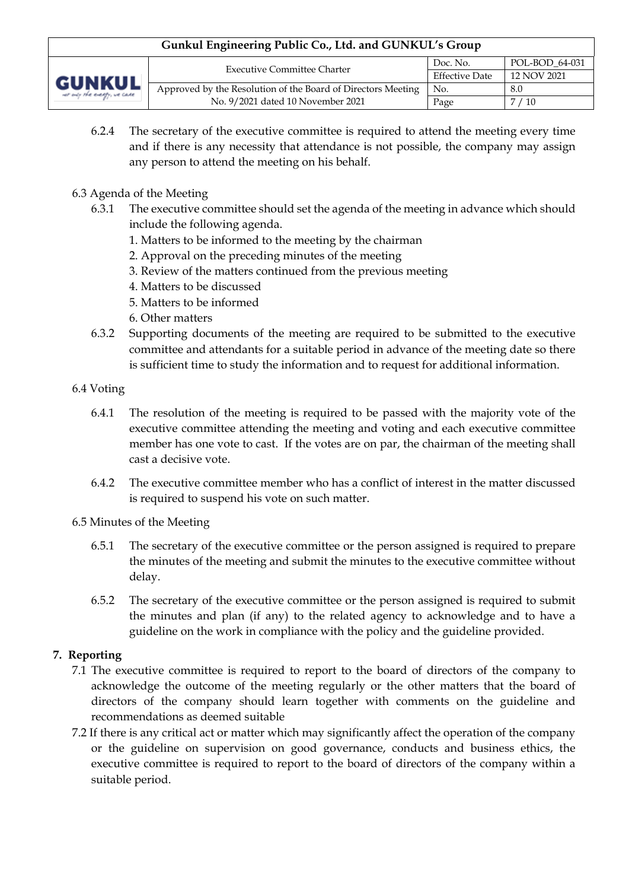| Gunkul Engineering Public Co., Ltd. and GUNKUL's Group |                                                              |                                                                    |               |  |
|--------------------------------------------------------|--------------------------------------------------------------|--------------------------------------------------------------------|---------------|--|
| <b>GUNKUL</b><br>ver only the everyly, we care         | <b>Executive Committee Charter</b>                           | POL-BOD 64-031<br>Doc. No.<br><b>Effective Date</b><br>12 NOV 2021 |               |  |
|                                                        |                                                              |                                                                    |               |  |
|                                                        | Approved by the Resolution of the Board of Directors Meeting | No.                                                                | 8.0           |  |
|                                                        | No. 9/2021 dated 10 November 2021                            | Page                                                               | $'$ / 10<br>7 |  |

- 6.2.4 The secretary of the executive committee is required to attend the meeting every time and if there is any necessity that attendance is not possible, the company may assign any person to attend the meeting on his behalf.
- 6.3 Agenda of the Meeting
	- 6.3.1 The executive committee should set the agenda of the meeting in advance which should include the following agenda.
		- 1. Matters to be informed to the meeting by the chairman
		- 2. Approval on the preceding minutes of the meeting
		- 3. Review of the matters continued from the previous meeting
		- 4. Matters to be discussed
		- 5. Matters to be informed
		- 6. Other matters
	- 6.3.2 Supporting documents of the meeting are required to be submitted to the executive committee and attendants for a suitable period in advance of the meeting date so there is sufficient time to study the information and to request for additional information.
- 6.4 Voting
	- 6.4.1 The resolution of the meeting is required to be passed with the majority vote of the executive committee attending the meeting and voting and each executive committee member has one vote to cast. If the votes are on par, the chairman of the meeting shall cast a decisive vote.
	- 6.4.2 The executive committee member who has a conflict of interest in the matter discussed is required to suspend his vote on such matter.
- 6.5 Minutes of the Meeting
	- 6.5.1 The secretary of the executive committee or the person assigned is required to prepare the minutes of the meeting and submit the minutes to the executive committee without delay.
	- 6.5.2 The secretary of the executive committee or the person assigned is required to submit the minutes and plan (if any) to the related agency to acknowledge and to have a guideline on the work in compliance with the policy and the guideline provided.

# **7. Reporting**

- 7.1 The executive committee is required to report to the board of directors of the company to acknowledge the outcome of the meeting regularly or the other matters that the board of directors of the company should learn together with comments on the guideline and recommendations as deemed suitable
- 7.2 If there is any critical act or matter which may significantly affect the operation of the company or the guideline on supervision on good governance, conducts and business ethics, the executive committee is required to report to the board of directors of the company within a suitable period.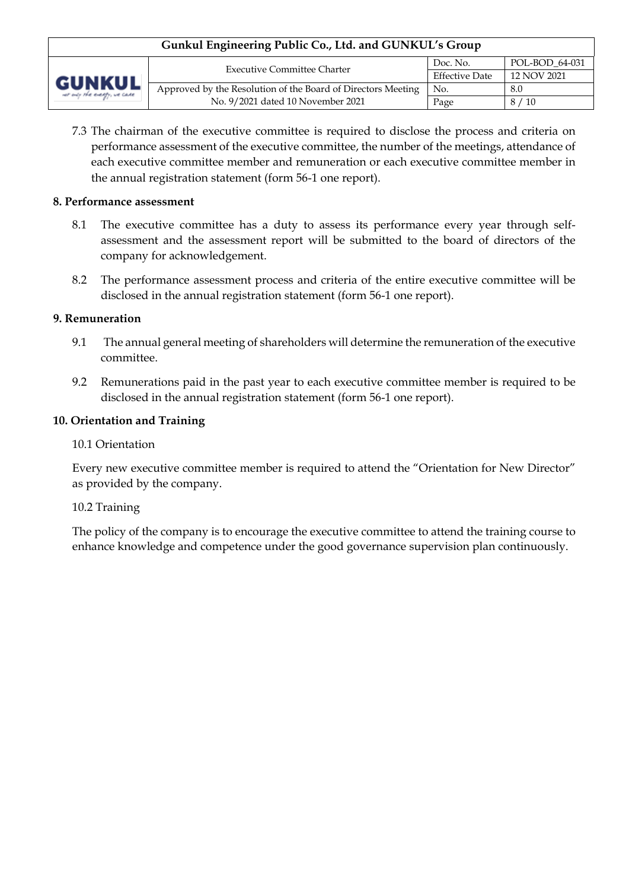| Gunkul Engineering Public Co., Ltd. and GUNKUL's Group |                                                              |                                                  |                |  |
|--------------------------------------------------------|--------------------------------------------------------------|--------------------------------------------------|----------------|--|
| <b>GUNKUL</b><br>ver only the everyly, we care         | <b>Executive Committee Charter</b>                           | Doc. No.<br><b>Effective Date</b><br>12 NOV 2021 | POL-BOD 64-031 |  |
|                                                        |                                                              |                                                  |                |  |
|                                                        | Approved by the Resolution of the Board of Directors Meeting | No.                                              | 8.0            |  |
|                                                        | No. 9/2021 dated 10 November 2021                            | Page                                             | 8/10           |  |

7.3 The chairman of the executive committee is required to disclose the process and criteria on performance assessment of the executive committee, the number of the meetings, attendance of each executive committee member and remuneration or each executive committee member in the annual registration statement (form 56-1 one report).

#### **8. Performance assessment**

- 8.1 The executive committee has a duty to assess its performance every year through selfassessment and the assessment report will be submitted to the board of directors of the company for acknowledgement.
- 8.2 The performance assessment process and criteria of the entire executive committee will be disclosed in the annual registration statement (form 56-1 one report).

#### **9. Remuneration**

- 9.1 The annual general meeting of shareholders will determine the remuneration of the executive committee.
- 9.2 Remunerations paid in the past year to each executive committee member is required to be disclosed in the annual registration statement (form 56-1 one report).

#### **10. Orientation and Training**

#### 10.1 Orientation

Every new executive committee member is required to attend the "Orientation for New Director" as provided by the company.

#### 10.2 Training

The policy of the company is to encourage the executive committee to attend the training course to enhance knowledge and competence under the good governance supervision plan continuously.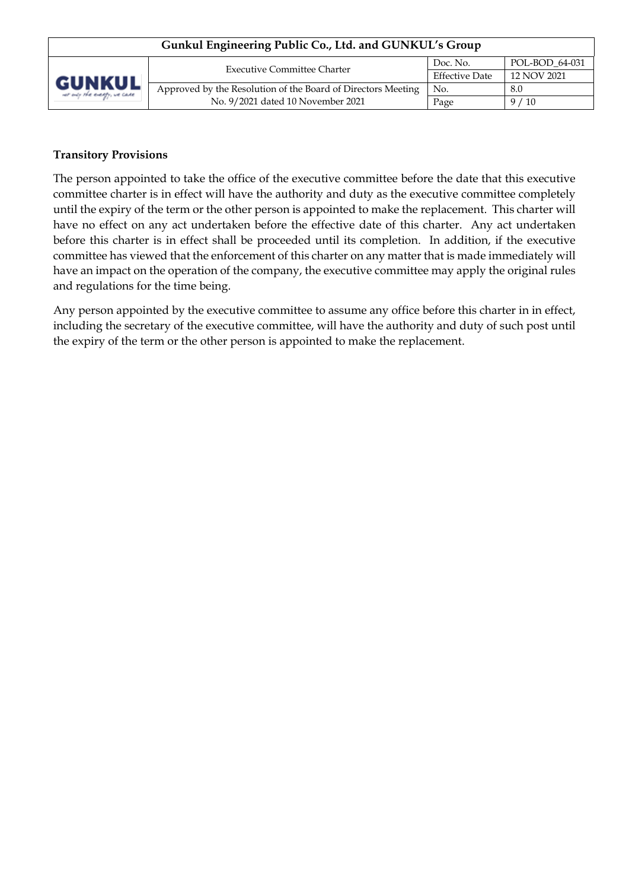| Gunkul Engineering Public Co., Ltd. and GUNKUL's Group |                                                              |                                                  |                |  |
|--------------------------------------------------------|--------------------------------------------------------------|--------------------------------------------------|----------------|--|
| <b>GUNKUL</b><br>ver only the everyly, we care         | <b>Executive Committee Charter</b>                           | Doc. No.<br><b>Effective Date</b><br>12 NOV 2021 | POL-BOD 64-031 |  |
|                                                        |                                                              |                                                  |                |  |
|                                                        | Approved by the Resolution of the Board of Directors Meeting | No.                                              | 8.0            |  |
|                                                        | No. 9/2021 dated 10 November 2021                            | Page                                             | 9/10           |  |

### **Transitory Provisions**

The person appointed to take the office of the executive committee before the date that this executive committee charter is in effect will have the authority and duty as the executive committee completely until the expiry of the term or the other person is appointed to make the replacement. This charter will have no effect on any act undertaken before the effective date of this charter. Any act undertaken before this charter is in effect shall be proceeded until its completion. In addition, if the executive committee has viewed that the enforcement of this charter on any matter that is made immediately will have an impact on the operation of the company, the executive committee may apply the original rules and regulations for the time being.

Any person appointed by the executive committee to assume any office before this charter in in effect, including the secretary of the executive committee, will have the authority and duty of such post until the expiry of the term or the other person is appointed to make the replacement.